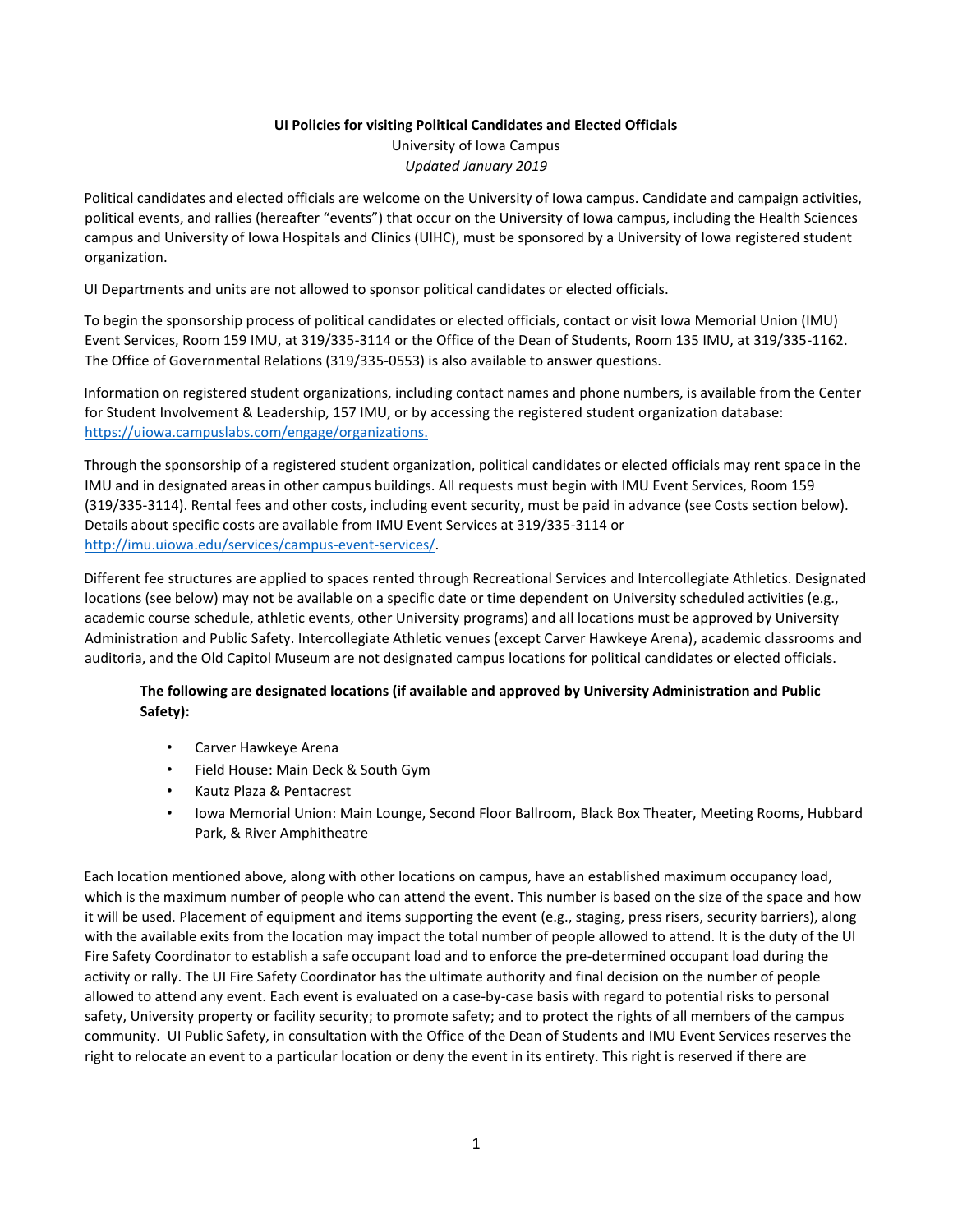## **UI Policies for visiting Political Candidates and Elected Officials**  University of Iowa Campus *Updated January 2019*

Political candidates and elected officials are welcome on the University of Iowa campus. Candidate and campaign activities, political events, and rallies (hereafter "events") that occur on the University of Iowa campus, including the Health Sciences campus and University of Iowa Hospitals and Clinics (UIHC), must be sponsored by a University of Iowa registered student organization.

UI Departments and units are not allowed to sponsor political candidates or elected officials.

To begin the sponsorship process of political candidates or elected officials, contact or visit Iowa Memorial Union (IMU) Event Services, Room 159 IMU, at 319/335-3114 or the Office of the Dean of Students, Room 135 IMU, at 319/335-1162. The Office of Governmental Relations (319/335-0553) is also available to answer questions.

Information on registered student organizations, including contact names and phone numbers, is available from the Center for Student Involvement & Leadership, 157 IMU, or by accessing the registered student organization database: [https://uiowa.campuslabs.com/engage/organizations.](https://uiowa.campuslabs.com/engage/organizations)

Through the sponsorship of a registered student organization, political candidates or elected officials may rent space in the IMU and in designated areas in other campus buildings. All requests must begin with IMU Event Services, Room 159 (319/335-3114). Rental fees and other costs, including event security, must be paid in advance (see Costs section below). Details about specific costs are available from IMU Event Services at 319/335-3114 or [http://imu.uiowa.edu/services/campus-event-services/.](http://imu.uiowa.edu/services/campus-event-services/)

Different fee structures are applied to spaces rented through Recreational Services and Intercollegiate Athletics. Designated locations (see below) may not be available on a specific date or time dependent on University scheduled activities (e.g., academic course schedule, athletic events, other University programs) and all locations must be approved by University Administration and Public Safety. Intercollegiate Athletic venues (except Carver Hawkeye Arena), academic classrooms and auditoria, and the Old Capitol Museum are not designated campus locations for political candidates or elected officials.

## **The following are designated locations (if available and approved by University Administration and Public Safety):**

- Carver Hawkeye Arena
- Field House: Main Deck & South Gym
- Kautz Plaza & Pentacrest
- Iowa Memorial Union: Main Lounge, Second Floor Ballroom, Black Box Theater, Meeting Rooms, Hubbard Park, & River Amphitheatre

Each location mentioned above, along with other locations on campus, have an established maximum occupancy load, which is the maximum number of people who can attend the event. This number is based on the size of the space and how it will be used. Placement of equipment and items supporting the event (e.g., staging, press risers, security barriers), along with the available exits from the location may impact the total number of people allowed to attend. It is the duty of the UI Fire Safety Coordinator to establish a safe occupant load and to enforce the pre-determined occupant load during the activity or rally. The UI Fire Safety Coordinator has the ultimate authority and final decision on the number of people allowed to attend any event. Each event is evaluated on a case-by-case basis with regard to potential risks to personal safety, University property or facility security; to promote safety; and to protect the rights of all members of the campus community. UI Public Safety, in consultation with the Office of the Dean of Students and IMU Event Services reserves the right to relocate an event to a particular location or deny the event in its entirety. This right is reserved if there are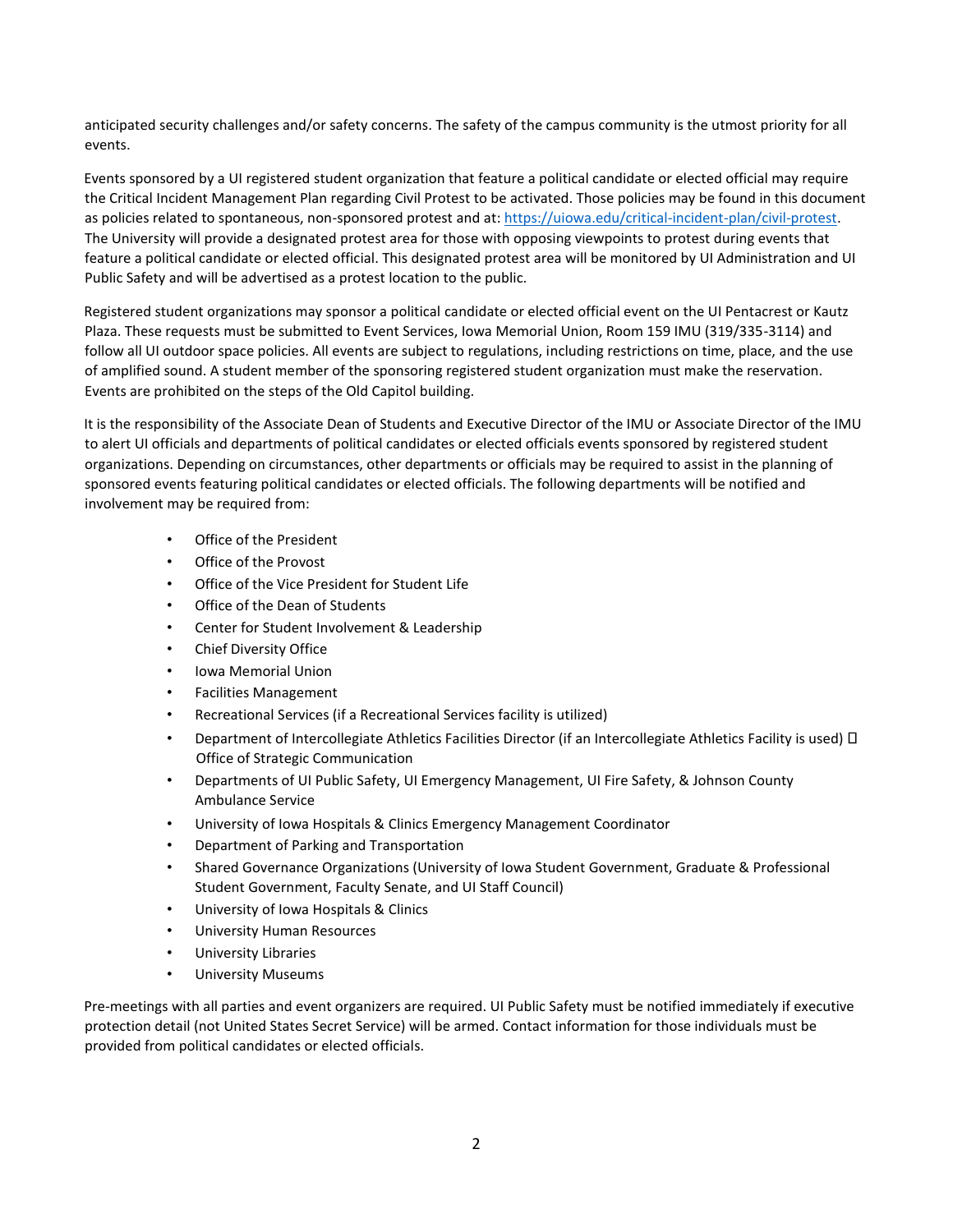anticipated security challenges and/or safety concerns. The safety of the campus community is the utmost priority for all events.

Events sponsored by a UI registered student organization that feature a political candidate or elected official may require the Critical Incident Management Plan regarding Civil Protest to be activated. Those policies may be found in this document as policies related to spontaneous, non-sponsored protest and a[t: https://uiowa.edu/critical-incident-plan/civil-protest.](https://uiowa.edu/critical-incident-plan/civil-protest) The University will provide a designated protest area for those with opposing viewpoints to protest during events that feature a political candidate or elected official. This designated protest area will be monitored by UI Administration and UI Public Safety and will be advertised as a protest location to the public.

Registered student organizations may sponsor a political candidate or elected official event on the UI Pentacrest or Kautz Plaza. These requests must be submitted to Event Services, Iowa Memorial Union, Room 159 IMU (319/335-3114) and follow all UI outdoor space policies. All events are subject to regulations, including restrictions on time, place, and the use of amplified sound. A student member of the sponsoring registered student organization must make the reservation. Events are prohibited on the steps of the Old Capitol building.

It is the responsibility of the Associate Dean of Students and Executive Director of the IMU or Associate Director of the IMU to alert UI officials and departments of political candidates or elected officials events sponsored by registered student organizations. Depending on circumstances, other departments or officials may be required to assist in the planning of sponsored events featuring political candidates or elected officials. The following departments will be notified and involvement may be required from:

- Office of the President
- Office of the Provost
- Office of the Vice President for Student Life
- Office of the Dean of Students
- Center for Student Involvement & Leadership
- Chief Diversity Office
- Iowa Memorial Union
- Facilities Management
- Recreational Services (if a Recreational Services facility is utilized)
- Department of Intercollegiate Athletics Facilities Director (if an Intercollegiate Athletics Facility is used)  $\Box$ Office of Strategic Communication
- Departments of UI Public Safety, UI Emergency Management, UI Fire Safety, & Johnson County Ambulance Service
- University of Iowa Hospitals & Clinics Emergency Management Coordinator
- Department of Parking and Transportation
- Shared Governance Organizations (University of Iowa Student Government, Graduate & Professional Student Government, Faculty Senate, and UI Staff Council)
- University of Iowa Hospitals & Clinics
- University Human Resources
- University Libraries
- University Museums

Pre-meetings with all parties and event organizers are required. UI Public Safety must be notified immediately if executive protection detail (not United States Secret Service) will be armed. Contact information for those individuals must be provided from political candidates or elected officials.